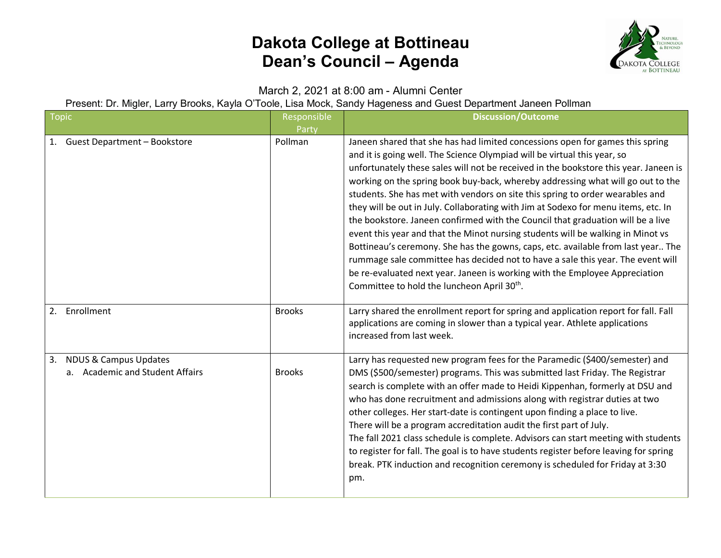

March 2, 2021 at 8:00 am - Alumni Center

Present: Dr. Migler, Larry Brooks, Kayla O'Toole, Lisa Mock, Sandy Hageness and Guest Department Janeen Pollman

| <b>Topic</b>                                                              | Responsible<br>Party | <b>Discussion/Outcome</b>                                                                                                                                                                                                                                                                                                                                                                                                                                                                                                                                                                                                                                                                                                                                                                                                                                                                                                                                                                          |
|---------------------------------------------------------------------------|----------------------|----------------------------------------------------------------------------------------------------------------------------------------------------------------------------------------------------------------------------------------------------------------------------------------------------------------------------------------------------------------------------------------------------------------------------------------------------------------------------------------------------------------------------------------------------------------------------------------------------------------------------------------------------------------------------------------------------------------------------------------------------------------------------------------------------------------------------------------------------------------------------------------------------------------------------------------------------------------------------------------------------|
| <b>Guest Department - Bookstore</b><br>1.                                 | Pollman              | Janeen shared that she has had limited concessions open for games this spring<br>and it is going well. The Science Olympiad will be virtual this year, so<br>unfortunately these sales will not be received in the bookstore this year. Janeen is<br>working on the spring book buy-back, whereby addressing what will go out to the<br>students. She has met with vendors on site this spring to order wearables and<br>they will be out in July. Collaborating with Jim at Sodexo for menu items, etc. In<br>the bookstore. Janeen confirmed with the Council that graduation will be a live<br>event this year and that the Minot nursing students will be walking in Minot vs<br>Bottineau's ceremony. She has the gowns, caps, etc. available from last year The<br>rummage sale committee has decided not to have a sale this year. The event will<br>be re-evaluated next year. Janeen is working with the Employee Appreciation<br>Committee to hold the luncheon April 30 <sup>th</sup> . |
| Enrollment<br>2.                                                          | <b>Brooks</b>        | Larry shared the enrollment report for spring and application report for fall. Fall<br>applications are coming in slower than a typical year. Athlete applications<br>increased from last week.                                                                                                                                                                                                                                                                                                                                                                                                                                                                                                                                                                                                                                                                                                                                                                                                    |
| <b>NDUS &amp; Campus Updates</b><br>3.<br>a. Academic and Student Affairs | <b>Brooks</b>        | Larry has requested new program fees for the Paramedic (\$400/semester) and<br>DMS (\$500/semester) programs. This was submitted last Friday. The Registrar<br>search is complete with an offer made to Heidi Kippenhan, formerly at DSU and<br>who has done recruitment and admissions along with registrar duties at two<br>other colleges. Her start-date is contingent upon finding a place to live.<br>There will be a program accreditation audit the first part of July.<br>The fall 2021 class schedule is complete. Advisors can start meeting with students<br>to register for fall. The goal is to have students register before leaving for spring<br>break. PTK induction and recognition ceremony is scheduled for Friday at 3:30<br>pm.                                                                                                                                                                                                                                             |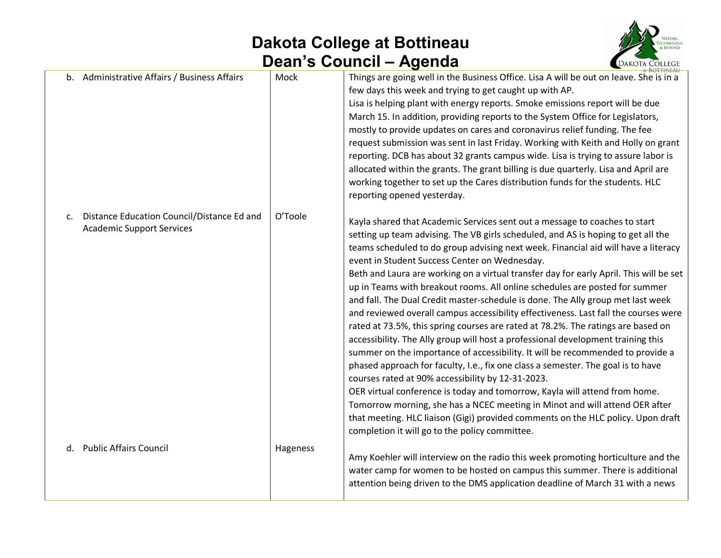

|    |                                                                                |          | <b>AT BOTTINEAU</b>                                                                                                                                                                                                                                                                                                                                                                                                                                                                                                                                                                                                                                                                                                                                                                                                                                                                                                                                                                                                                                                                                                                                                                                                                                                                                                                                             |
|----|--------------------------------------------------------------------------------|----------|-----------------------------------------------------------------------------------------------------------------------------------------------------------------------------------------------------------------------------------------------------------------------------------------------------------------------------------------------------------------------------------------------------------------------------------------------------------------------------------------------------------------------------------------------------------------------------------------------------------------------------------------------------------------------------------------------------------------------------------------------------------------------------------------------------------------------------------------------------------------------------------------------------------------------------------------------------------------------------------------------------------------------------------------------------------------------------------------------------------------------------------------------------------------------------------------------------------------------------------------------------------------------------------------------------------------------------------------------------------------|
|    | b. Administrative Affairs / Business Affairs                                   | Mock     | Things are going well in the Business Office. Lisa A will be out on leave. She is in a<br>few days this week and trying to get caught up with AP.<br>Lisa is helping plant with energy reports. Smoke emissions report will be due<br>March 15. In addition, providing reports to the System Office for Legislators,<br>mostly to provide updates on cares and coronavirus relief funding. The fee<br>request submission was sent in last Friday. Working with Keith and Holly on grant<br>reporting. DCB has about 32 grants campus wide. Lisa is trying to assure labor is<br>allocated within the grants. The grant billing is due quarterly. Lisa and April are<br>working together to set up the Cares distribution funds for the students. HLC<br>reporting opened yesterday.                                                                                                                                                                                                                                                                                                                                                                                                                                                                                                                                                                             |
| c. | Distance Education Council/Distance Ed and<br><b>Academic Support Services</b> | O'Toole  | Kayla shared that Academic Services sent out a message to coaches to start<br>setting up team advising. The VB girls scheduled, and AS is hoping to get all the<br>teams scheduled to do group advising next week. Financial aid will have a literacy<br>event in Student Success Center on Wednesday.<br>Beth and Laura are working on a virtual transfer day for early April. This will be set<br>up in Teams with breakout rooms. All online schedules are posted for summer<br>and fall. The Dual Credit master-schedule is done. The Ally group met last week<br>and reviewed overall campus accessibility effectiveness. Last fall the courses were<br>rated at 73.5%, this spring courses are rated at 78.2%. The ratings are based on<br>accessibility. The Ally group will host a professional development training this<br>summer on the importance of accessibility. It will be recommended to provide a<br>phased approach for faculty, I.e., fix one class a semester. The goal is to have<br>courses rated at 90% accessibility by 12-31-2023.<br>OER virtual conference is today and tomorrow, Kayla will attend from home.<br>Tomorrow morning, she has a NCEC meeting in Minot and will attend OER after<br>that meeting. HLC liaison (Gigi) provided comments on the HLC policy. Upon draft<br>completion it will go to the policy committee. |
| d. | <b>Public Affairs Council</b>                                                  | Hageness | Amy Koehler will interview on the radio this week promoting horticulture and the<br>water camp for women to be hosted on campus this summer. There is additional<br>attention being driven to the DMS application deadline of March 31 with a news                                                                                                                                                                                                                                                                                                                                                                                                                                                                                                                                                                                                                                                                                                                                                                                                                                                                                                                                                                                                                                                                                                              |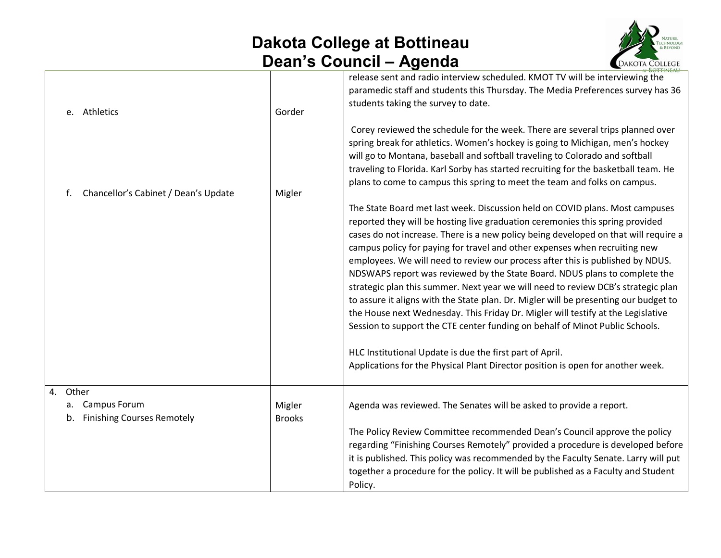

| e. Athletics                                                           | Gorder                  | release sent and radio interview scheduled. KMOT TV will be interviewing the<br>paramedic staff and students this Thursday. The Media Preferences survey has 36<br>students taking the survey to date.<br>Corey reviewed the schedule for the week. There are several trips planned over<br>spring break for athletics. Women's hockey is going to Michigan, men's hockey<br>will go to Montana, baseball and softball traveling to Colorado and softball<br>traveling to Florida. Karl Sorby has started recruiting for the basketball team. He<br>plans to come to campus this spring to meet the team and folks on campus.                                                                                                                                                                                                                                                                                                                                                                      |
|------------------------------------------------------------------------|-------------------------|----------------------------------------------------------------------------------------------------------------------------------------------------------------------------------------------------------------------------------------------------------------------------------------------------------------------------------------------------------------------------------------------------------------------------------------------------------------------------------------------------------------------------------------------------------------------------------------------------------------------------------------------------------------------------------------------------------------------------------------------------------------------------------------------------------------------------------------------------------------------------------------------------------------------------------------------------------------------------------------------------|
| Chancellor's Cabinet / Dean's Update<br>f.                             | Migler                  | The State Board met last week. Discussion held on COVID plans. Most campuses<br>reported they will be hosting live graduation ceremonies this spring provided<br>cases do not increase. There is a new policy being developed on that will require a<br>campus policy for paying for travel and other expenses when recruiting new<br>employees. We will need to review our process after this is published by NDUS.<br>NDSWAPS report was reviewed by the State Board. NDUS plans to complete the<br>strategic plan this summer. Next year we will need to review DCB's strategic plan<br>to assure it aligns with the State plan. Dr. Migler will be presenting our budget to<br>the House next Wednesday. This Friday Dr. Migler will testify at the Legislative<br>Session to support the CTE center funding on behalf of Minot Public Schools.<br>HLC Institutional Update is due the first part of April.<br>Applications for the Physical Plant Director position is open for another week. |
| 4. Other<br>a. Campus Forum<br><b>Finishing Courses Remotely</b><br>b. | Migler<br><b>Brooks</b> | Agenda was reviewed. The Senates will be asked to provide a report.<br>The Policy Review Committee recommended Dean's Council approve the policy<br>regarding "Finishing Courses Remotely" provided a procedure is developed before<br>it is published. This policy was recommended by the Faculty Senate. Larry will put<br>together a procedure for the policy. It will be published as a Faculty and Student<br>Policy.                                                                                                                                                                                                                                                                                                                                                                                                                                                                                                                                                                         |